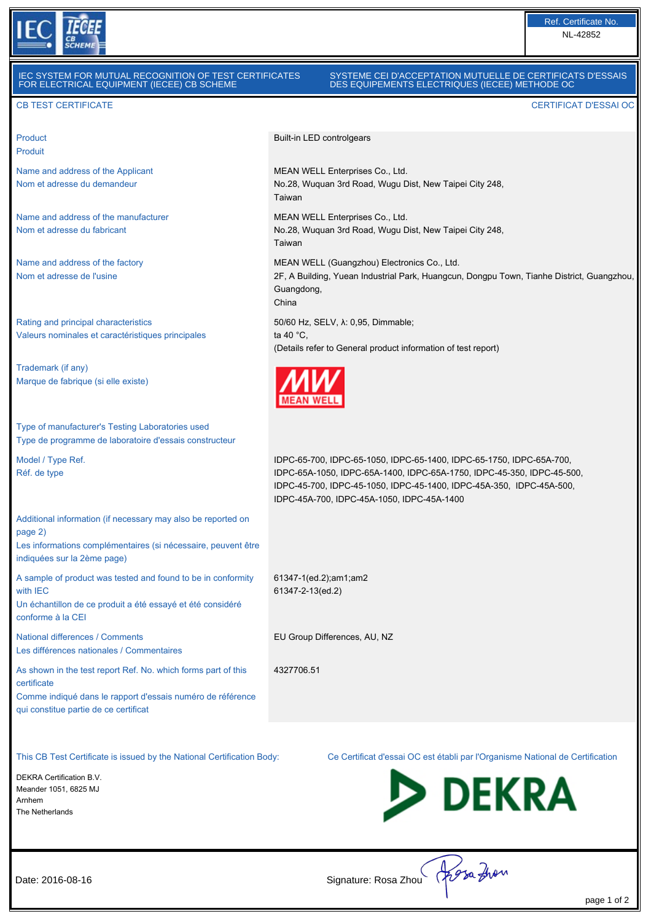

# IEC SYSTEM FOR MUTUAL RECOGNITION OF TEST CERTIFICATES FOR ELECTRICAL EQUIPMENT (IECEE) CB SCHEME

## SYSTEME CEI D'ACCEPTATION MUTUELLE DE CERTIFICATS D'ESSAIS DES EQUIPEMENTS ELECTRIQUES (IECEE) METHODE OC

2F, A Building, Yuean Industrial Park, Huangcun, Dongpu Town, Tianhe District, Guangzhou,

Built-in LED controlgears

Taiwan

Taiwan

Guangdong, China

ta 40 $^{\circ}$ C

**MEAN WELL** 

MEAN WELL Enterprises Co., Ltd.

MEAN WELL Enterprises Co., Ltd.

50/60 Hz, SELV, λ: 0,95, Dimmable;

No.28, Wuquan 3rd Road, Wugu Dist, New Taipei City 248,

No.28, Wuquan 3rd Road, Wugu Dist, New Taipei City 248,

(Details refer to General product information of test report)

IDPC-45A-700, IDPC-45A-1050, IDPC-45A-1400

61347-1(ed.2);am1;am2 61347-2-13(ed.2)

4327706.51

EU Group Differences, AU, NZ

IDPC-65-700, IDPC-65-1050, IDPC-65-1400, IDPC-65-1750, IDPC-65A-700, IDPC-65A-1050, IDPC-65A-1400, IDPC-65A-1750, IDPC-45-350, IDPC-45-500, IDPC-45-700, IDPC-45-1050, IDPC-45-1400, IDPC-45A-350, IDPC-45A-500,

MEAN WELL (Guangzhou) Electronics Co., Ltd.

#### CB TEST CERTIFICATE CERTIFICAT D'ESSAI OC

Product Produit

Name and address of the Applicant Nom et adresse du demandeur

Name and address of the manufacturer Nom et adresse du fabricant

Name and address of the factory Nom et adresse de l'usine

Rating and principal characteristics Valeurs nominales et caractéristiques principales

Trademark (if any) Marque de fabrique (si elle existe)

Type of manufacturer's Testing Laboratories used Type de programme de laboratoire d'essais constructeur

Model / Type Ref. Réf. de type

Additional information (if necessary may also be reported on page 2) Les informations complémentaires (si nécessaire, peuvent être

indiquées sur la 2ème page)

A sample of product was tested and found to be in conformity with IEC Un échantillon de ce produit a été essayé et été considéré conforme à la CEI

National differences / Comments Les différences nationales / Commentaires

As shown in the test report Ref. No. which forms part of this certificate Comme indiqué dans le rapport d'essais numéro de référence

qui constitue partie de ce certificat

DEKRA Certification B.V. Meander 1051, 6825 MJ Arnhem The Netherlands

This CB Test Certificate is issued by the National Certification Body: Ce Certificat d'essai OC est établi par l'Organisme National de Certification



Date: 2016-08-16 Signature: Rosa Zhou